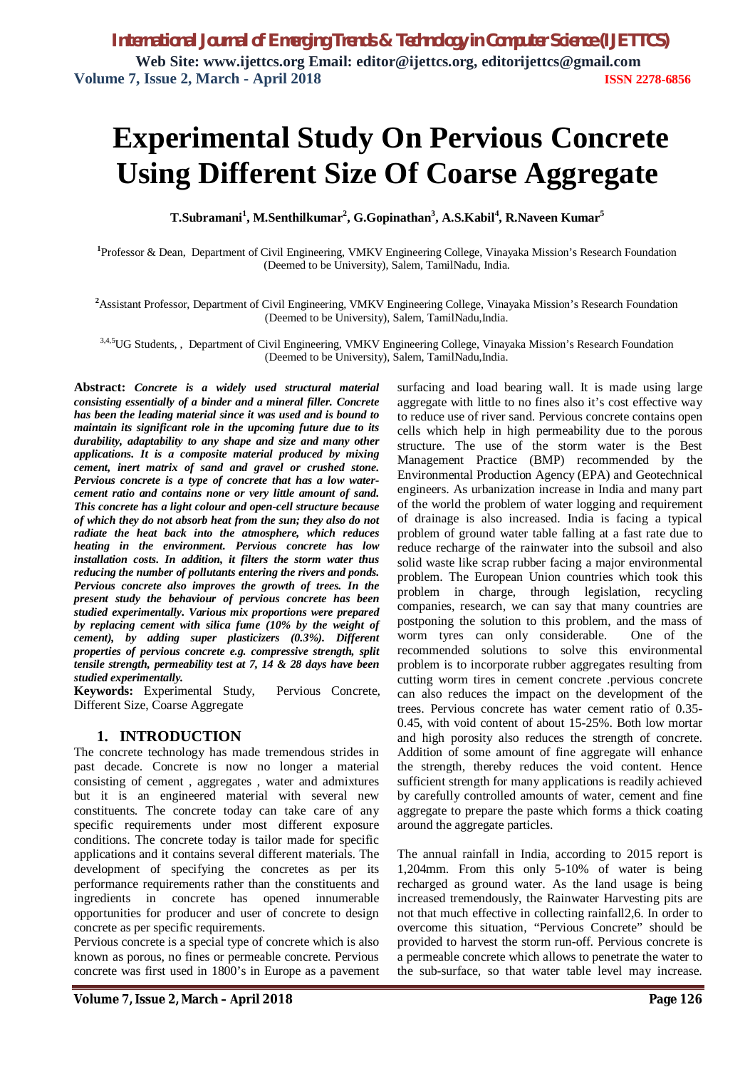# **Experimental Study On Pervious Concrete Using Different Size Of Coarse Aggregate**

**T.Subramani<sup>1</sup> , M.Senthilkumar<sup>2</sup> , G.Gopinathan<sup>3</sup> , A.S.Kabil<sup>4</sup> , R.Naveen Kumar<sup>5</sup>**

**1** Professor & Dean, Department of Civil Engineering, VMKV Engineering College, Vinayaka Mission's Research Foundation (Deemed to be University), Salem, TamilNadu, India.

**<sup>2</sup>**Assistant Professor, Department of Civil Engineering, VMKV Engineering College, Vinayaka Mission's Research Foundation (Deemed to be University), Salem, TamilNadu,India.

3,4,5UG Students, , Department of Civil Engineering, VMKV Engineering College, Vinayaka Mission's Research Foundation (Deemed to be University), Salem, TamilNadu,India.

**Abstract:** *Concrete is a widely used structural material consisting essentially of a binder and a mineral filler. Concrete has been the leading material since it was used and is bound to maintain its significant role in the upcoming future due to its durability, adaptability to any shape and size and many other applications. It is a composite material produced by mixing cement, inert matrix of sand and gravel or crushed stone. Pervious concrete is a type of concrete that has a low watercement ratio and contains none or very little amount of sand. This concrete has a light colour and open-cell structure because of which they do not absorb heat from the sun; they also do not radiate the heat back into the atmosphere, which reduces heating in the environment. Pervious concrete has low installation costs. In addition, it filters the storm water thus reducing the number of pollutants entering the rivers and ponds. Pervious concrete also improves the growth of trees. In the present study the behaviour of pervious concrete has been studied experimentally. Various mix proportions were prepared by replacing cement with silica fume (10% by the weight of cement), by adding super plasticizers (0.3%). Different properties of pervious concrete e.g. compressive strength, split tensile strength, permeability test at 7, 14 & 28 days have been studied experimentally.*

**Keywords:** Experimental Study, Pervious Concrete, Different Size, Coarse Aggregate

### **1. INTRODUCTION**

The concrete technology has made tremendous strides in past decade. Concrete is now no longer a material consisting of cement , aggregates , water and admixtures but it is an engineered material with several new constituents. The concrete today can take care of any specific requirements under most different exposure conditions. The concrete today is tailor made for specific applications and it contains several different materials. The development of specifying the concretes as per its performance requirements rather than the constituents and ingredients in concrete has opened innumerable opportunities for producer and user of concrete to design concrete as per specific requirements.

Pervious concrete is a special type of concrete which is also known as porous, no fines or permeable concrete. Pervious concrete was first used in 1800's in Europe as a pavement

surfacing and load bearing wall. It is made using large aggregate with little to no fines also it's cost effective way to reduce use of river sand. Pervious concrete contains open cells which help in high permeability due to the porous structure. The use of the storm water is the Best Management Practice (BMP) recommended by the Environmental Production Agency (EPA) and Geotechnical engineers. As urbanization increase in India and many part of the world the problem of water logging and requirement of drainage is also increased. India is facing a typical problem of ground water table falling at a fast rate due to reduce recharge of the rainwater into the subsoil and also solid waste like scrap rubber facing a major environmental problem. The European Union countries which took this problem in charge, through legislation, recycling companies, research, we can say that many countries are postponing the solution to this problem, and the mass of worm tyres can only considerable. One of the recommended solutions to solve this environmental problem is to incorporate rubber aggregates resulting from cutting worm tires in cement concrete .pervious concrete can also reduces the impact on the development of the trees. Pervious concrete has water cement ratio of 0.35- 0.45, with void content of about 15-25%. Both low mortar and high porosity also reduces the strength of concrete. Addition of some amount of fine aggregate will enhance the strength, thereby reduces the void content. Hence sufficient strength for many applications is readily achieved by carefully controlled amounts of water, cement and fine aggregate to prepare the paste which forms a thick coating around the aggregate particles.

The annual rainfall in India, according to 2015 report is 1,204mm. From this only 5-10% of water is being recharged as ground water. As the land usage is being increased tremendously, the Rainwater Harvesting pits are not that much effective in collecting rainfall2,6. In order to overcome this situation, "Pervious Concrete" should be provided to harvest the storm run-off. Pervious concrete is a permeable concrete which allows to penetrate the water to the sub-surface, so that water table level may increase.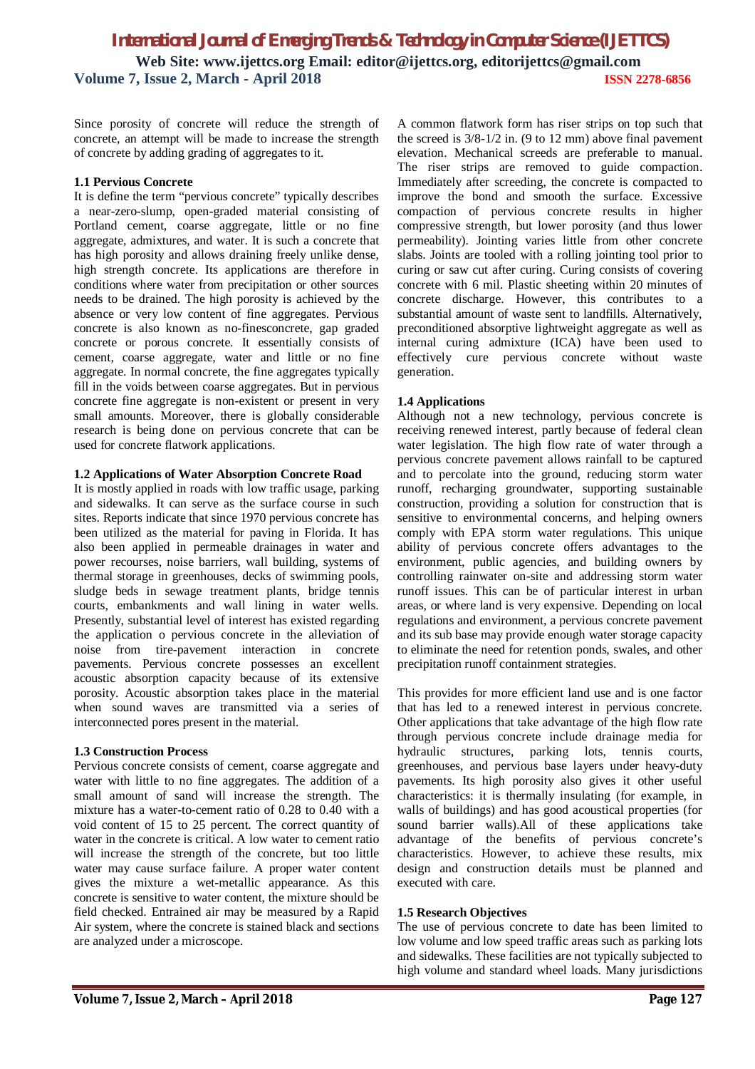Since porosity of concrete will reduce the strength of concrete, an attempt will be made to increase the strength of concrete by adding grading of aggregates to it.

### **1.1 Pervious Concrete**

It is define the term "pervious concrete" typically describes a near-zero-slump, open-graded material consisting of Portland cement, coarse aggregate, little or no fine aggregate, admixtures, and water. It is such a concrete that has high porosity and allows draining freely unlike dense, high strength concrete. Its applications are therefore in conditions where water from precipitation or other sources needs to be drained. The high porosity is achieved by the absence or very low content of fine aggregates. Pervious concrete is also known as no-finesconcrete, gap graded concrete or porous concrete. It essentially consists of cement, coarse aggregate, water and little or no fine aggregate. In normal concrete, the fine aggregates typically fill in the voids between coarse aggregates. But in pervious concrete fine aggregate is non-existent or present in very small amounts. Moreover, there is globally considerable research is being done on pervious concrete that can be used for concrete flatwork applications.

### **1.2 Applications of Water Absorption Concrete Road**

It is mostly applied in roads with low traffic usage, parking and sidewalks. It can serve as the surface course in such sites. Reports indicate that since 1970 pervious concrete has been utilized as the material for paving in Florida. It has also been applied in permeable drainages in water and power recourses, noise barriers, wall building, systems of thermal storage in greenhouses, decks of swimming pools, sludge beds in sewage treatment plants, bridge tennis courts, embankments and wall lining in water wells. Presently, substantial level of interest has existed regarding the application o pervious concrete in the alleviation of noise from tire-pavement interaction in concrete pavements. Pervious concrete possesses an excellent acoustic absorption capacity because of its extensive porosity. Acoustic absorption takes place in the material when sound waves are transmitted via a series of interconnected pores present in the material.

### **1.3 Construction Process**

Pervious concrete consists of cement, coarse aggregate and water with little to no fine aggregates. The addition of a small amount of sand will increase the strength. The mixture has a water-to-cement ratio of 0.28 to 0.40 with a void content of 15 to 25 percent. The correct quantity of water in the concrete is critical. A low water to cement ratio will increase the strength of the concrete, but too little water may cause surface failure. A proper water content gives the mixture a wet-metallic appearance. As this concrete is sensitive to water content, the mixture should be field checked. Entrained air may be measured by a Rapid Air system, where the concrete is stained black and sections are analyzed under a microscope.

A common flatwork form has riser strips on top such that the screed is 3/8-1/2 in. (9 to 12 mm) above final pavement elevation. Mechanical screeds are preferable to manual. The riser strips are removed to guide compaction. Immediately after screeding, the concrete is compacted to improve the bond and smooth the surface. Excessive compaction of pervious concrete results in higher compressive strength, but lower porosity (and thus lower permeability). Jointing varies little from other concrete slabs. Joints are tooled with a rolling jointing tool prior to curing or saw cut after curing. Curing consists of covering concrete with 6 mil. Plastic sheeting within 20 minutes of concrete discharge. However, this contributes to a substantial amount of waste sent to landfills. Alternatively, preconditioned absorptive lightweight aggregate as well as internal curing admixture (ICA) have been used to effectively cure pervious concrete without waste generation.

### **1.4 Applications**

Although not a new technology, pervious concrete is receiving renewed interest, partly because of federal clean water legislation. The high flow rate of water through a pervious concrete pavement allows rainfall to be captured and to percolate into the ground, reducing storm water runoff, recharging groundwater, supporting sustainable construction, providing a solution for construction that is sensitive to environmental concerns, and helping owners comply with EPA storm water regulations. This unique ability of pervious concrete offers advantages to the environment, public agencies, and building owners by controlling rainwater on-site and addressing storm water runoff issues. This can be of particular interest in urban areas, or where land is very expensive. Depending on local regulations and environment, a pervious concrete pavement and its sub base may provide enough water storage capacity to eliminate the need for retention ponds, swales, and other precipitation runoff containment strategies.

This provides for more efficient land use and is one factor that has led to a renewed interest in pervious concrete. Other applications that take advantage of the high flow rate through pervious concrete include drainage media for hydraulic structures, parking lots, tennis courts, greenhouses, and pervious base layers under heavy-duty pavements. Its high porosity also gives it other useful characteristics: it is thermally insulating (for example, in walls of buildings) and has good acoustical properties (for sound barrier walls).All of these applications take advantage of the benefits of pervious concrete's characteristics. However, to achieve these results, mix design and construction details must be planned and executed with care.

### **1.5 Research Objectives**

The use of pervious concrete to date has been limited to low volume and low speed traffic areas such as parking lots and sidewalks. These facilities are not typically subjected to high volume and standard wheel loads. Many jurisdictions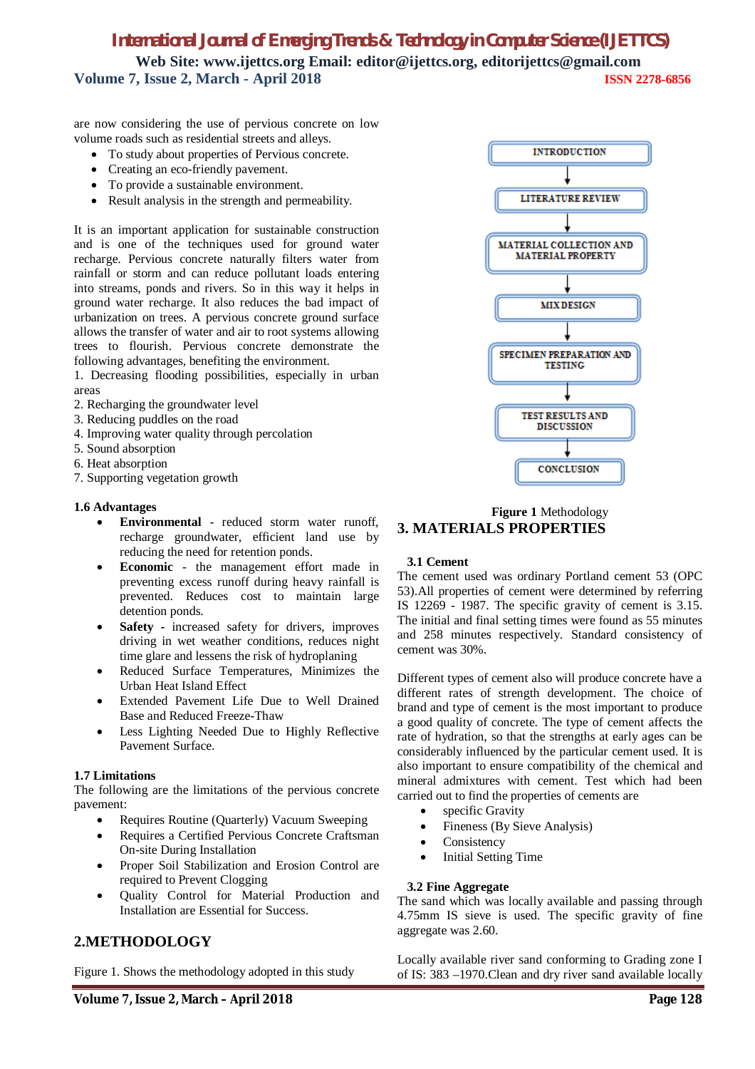## *International Journal of Emerging Trends & Technology in Computer Science (IJETTCS)*

**Web Site: www.ijettcs.org Email: editor@ijettcs.org, editorijettcs@gmail.com Volume 7, Issue 2, March - April 2018 ISSN 2278-6856**

are now considering the use of pervious concrete on low volume roads such as residential streets and alleys.

- To study about properties of Pervious concrete.
- Creating an eco-friendly pavement.
- To provide a sustainable environment.
- Result analysis in the strength and permeability.

It is an important application for sustainable construction and is one of the techniques used for ground water recharge. Pervious concrete naturally filters water from rainfall or storm and can reduce pollutant loads entering into streams, ponds and rivers. So in this way it helps in ground water recharge. It also reduces the bad impact of urbanization on trees. A pervious concrete ground surface allows the transfer of water and air to root systems allowing trees to flourish. Pervious concrete demonstrate the following advantages, benefiting the environment.

1. Decreasing flooding possibilities, especially in urban areas

- 2. Recharging the groundwater level
- 3. Reducing puddles on the road
- 4. Improving water quality through percolation
- 5. Sound absorption
- 6. Heat absorption
- 7. Supporting vegetation growth

### **1.6 Advantages**

- **Environmental**  reduced storm water runoff, recharge groundwater, efficient land use by reducing the need for retention ponds.
- **Economic** the management effort made in preventing excess runoff during heavy rainfall is prevented. Reduces cost to maintain large detention ponds.
- **Safety -** increased safety for drivers, improves driving in wet weather conditions, reduces night time glare and lessens the risk of hydroplaning
- Reduced Surface Temperatures, Minimizes the Urban Heat Island Effect
- Extended Pavement Life Due to Well Drained Base and Reduced Freeze-Thaw
- Less Lighting Needed Due to Highly Reflective Pavement Surface.

### **1.7 Limitations**

The following are the limitations of the pervious concrete pavement:

- Requires Routine (Quarterly) Vacuum Sweeping
- Requires a Certified Pervious Concrete Craftsman On-site During Installation
- Proper Soil Stabilization and Erosion Control are required to Prevent Clogging
- Quality Control for Material Production and Installation are Essential for Success.

### **2.METHODOLOGY**

Figure 1. Shows the methodology adopted in this study



### **Figure 1** Methodology **3. MATERIALS PROPERTIES**

### **3.1 Cement**

The cement used was ordinary Portland cement 53 (OPC 53).All properties of cement were determined by referring IS 12269 - 1987. The specific gravity of cement is 3.15. The initial and final setting times were found as 55 minutes and 258 minutes respectively. Standard consistency of cement was 30%.

Different types of cement also will produce concrete have a different rates of strength development. The choice of brand and type of cement is the most important to produce a good quality of concrete. The type of cement affects the rate of hydration, so that the strengths at early ages can be considerably influenced by the particular cement used. It is also important to ensure compatibility of the chemical and mineral admixtures with cement. Test which had been carried out to find the properties of cements are

- specific Gravity
- Fineness (By Sieve Analysis)
- Consistency
- Initial Setting Time

### **3.2 Fine Aggregate**

The sand which was locally available and passing through 4.75mm IS sieve is used. The specific gravity of fine aggregate was 2.60.

Locally available river sand conforming to Grading zone I of IS: 383 –1970.Clean and dry river sand available locally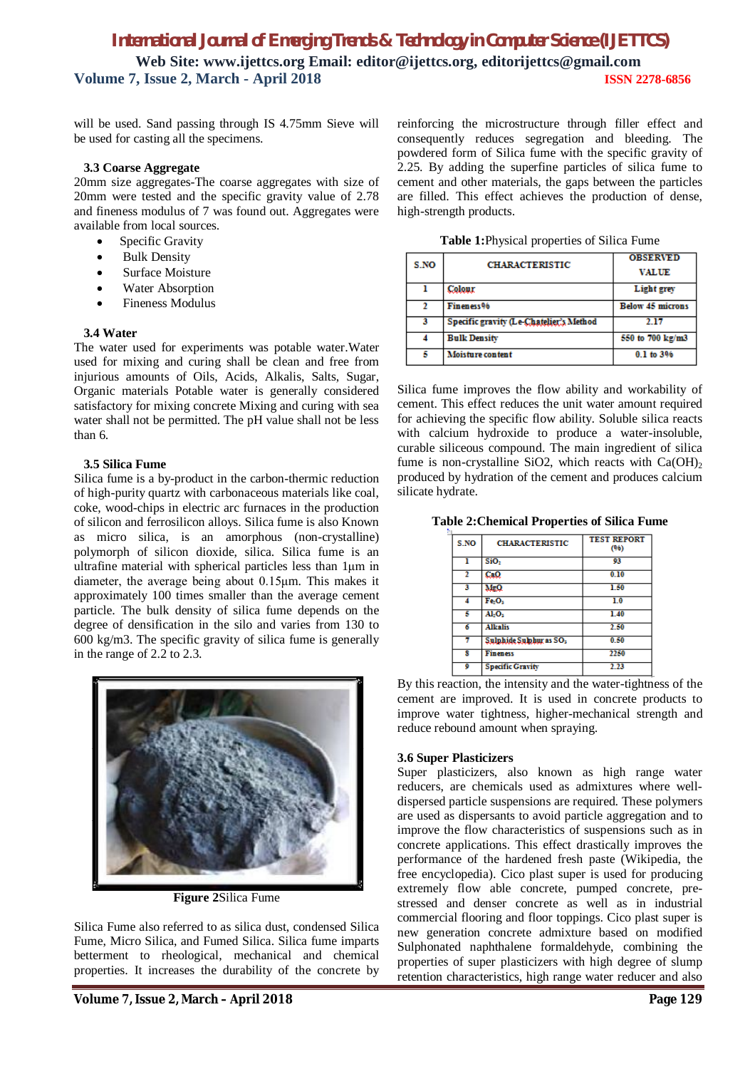will be used. Sand passing through IS 4.75mm Sieve will be used for casting all the specimens.

#### **3.3 Coarse Aggregate**

20mm size aggregates-The coarse aggregates with size of 20mm were tested and the specific gravity value of 2.78 and fineness modulus of 7 was found out. Aggregates were available from local sources.

- Specific Gravity
- Bulk Density
- Surface Moisture
- Water Absorption
- Fineness Modulus

#### **3.4 Water**

The water used for experiments was potable water.Water used for mixing and curing shall be clean and free from injurious amounts of Oils, Acids, Alkalis, Salts, Sugar, Organic materials Potable water is generally considered satisfactory for mixing concrete Mixing and curing with sea water shall not be permitted. The pH value shall not be less than 6.

#### **3.5 Silica Fume**

Silica fume is a by-product in the carbon-thermic reduction of high-purity quartz with carbonaceous materials like coal, coke, wood-chips in electric arc furnaces in the production of silicon and ferrosilicon alloys. Silica fume is also Known as micro silica, is an amorphous (non-crystalline) polymorph of silicon dioxide, silica. Silica fume is an ultrafine material with spherical particles less than 1μm in diameter, the average being about 0.15μm. This makes it approximately 100 times smaller than the average cement particle. The bulk density of silica fume depends on the degree of densification in the silo and varies from 130 to 600 kg/m3. The specific gravity of silica fume is generally in the range of 2.2 to 2.3.



**Figure 2**Silica Fume

Silica Fume also referred to as silica dust, condensed Silica Fume, Micro Silica, and Fumed Silica. Silica fume imparts betterment to rheological, mechanical and chemical properties. It increases the durability of the concrete by

reinforcing the microstructure through filler effect and consequently reduces segregation and bleeding. The powdered form of Silica fume with the specific gravity of 2.25. By adding the superfine particles of silica fume to cement and other materials, the gaps between the particles are filled. This effect achieves the production of dense, high-strength products.

**Table 1:**Physical properties of Silica Fume

| S.NO | <b>CHARACTERISTIC</b>                   | <b>OBSERVED</b><br><b>VALUE</b> |
|------|-----------------------------------------|---------------------------------|
|      | Colour                                  | Light grey                      |
|      | Fineness <sup>96</sup>                  | <b>Below 45 microns</b>         |
| з    | Specific gravity (Le-Chatelier's Method | 2.17                            |
|      | <b>Bulk Density</b>                     | 550 to 700 kg/m3                |
| 5    | Moisture content                        | 0.1 to 3%                       |

Silica fume improves the flow ability and workability of cement. This effect reduces the unit water amount required for achieving the specific flow ability. Soluble silica reacts with calcium hydroxide to produce a water-insoluble, curable siliceous compound. The main ingredient of silica fume is non-crystalline SiO2, which reacts with  $Ca(OH)_2$ produced by hydration of the cement and produces calcium silicate hydrate.

| <b>Table 2: Chemical Properties of Silica Fume</b> |  |  |  |
|----------------------------------------------------|--|--|--|
|----------------------------------------------------|--|--|--|

| S.NO                    | <b>CHARACTERISTIC</b>               | <b>TEST REPORT</b><br>(96) |
|-------------------------|-------------------------------------|----------------------------|
| ı                       | SiO <sub>2</sub>                    | 93                         |
| $\mathbf{r}$            | CaO                                 | 0.10                       |
| 3                       | MgQ.                                | 1.50                       |
|                         | FeO <sub>2</sub>                    | $\overline{1.0}$           |
| 5                       | AI <sub>2</sub> O <sub>3</sub>      | 1.40                       |
| 6                       | <b>Alkalis</b>                      | 2.50                       |
|                         | Sulphide Sulphur as SO <sub>3</sub> | 0.50                       |
| я                       | <b>Fineness</b>                     | 2250                       |
| $\overline{\mathbf{Q}}$ | <b>Specific Gravity</b>             | 2.23                       |

By this reaction, the intensity and the water-tightness of the cement are improved. It is used in concrete products to improve water tightness, higher-mechanical strength and reduce rebound amount when spraying.

### **3.6 Super Plasticizers**

Super plasticizers, also known as high range water reducers, are chemicals used as admixtures where welldispersed particle suspensions are required. These polymers are used as dispersants to avoid particle aggregation and to improve the flow characteristics of suspensions such as in concrete applications. This effect drastically improves the performance of the hardened fresh paste (Wikipedia, the free encyclopedia). Cico plast super is used for producing extremely flow able concrete, pumped concrete, prestressed and denser concrete as well as in industrial commercial flooring and floor toppings. Cico plast super is new generation concrete admixture based on modified Sulphonated naphthalene formaldehyde, combining the properties of super plasticizers with high degree of slump retention characteristics, high range water reducer and also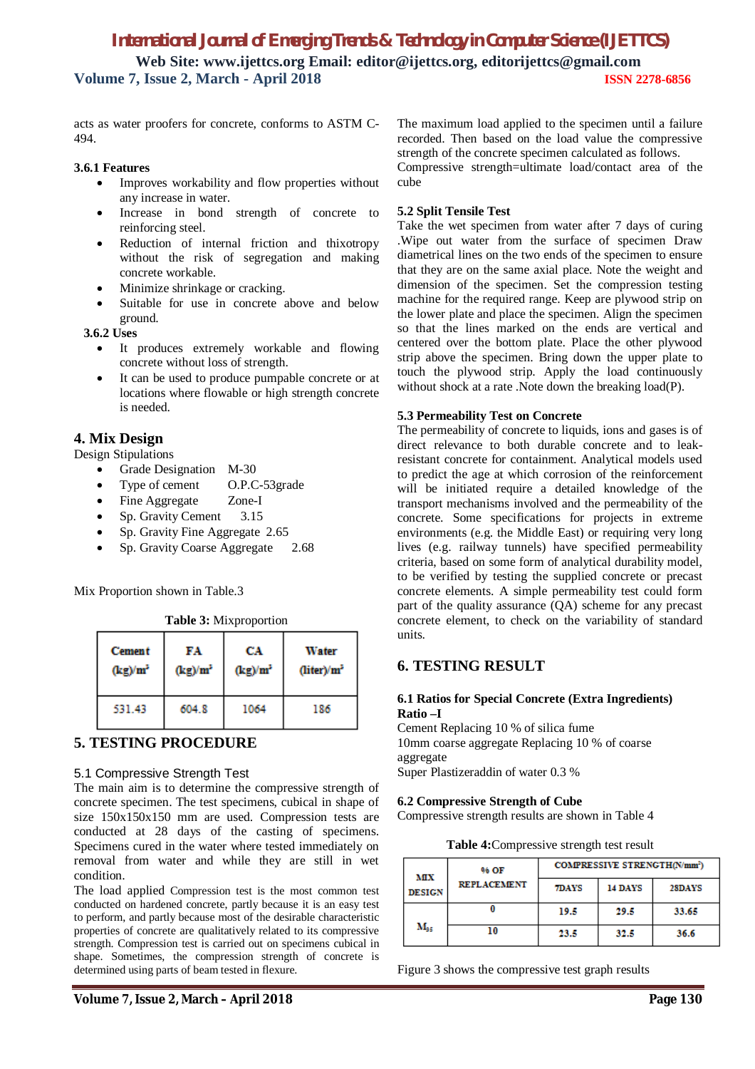acts as water proofers for concrete, conforms to ASTM C-494.

### **3.6.1 Features**

- Improves workability and flow properties without any increase in water.
- Increase in bond strength of concrete to reinforcing steel.
- Reduction of internal friction and thixotropy without the risk of segregation and making concrete workable.
- Minimize shrinkage or cracking.
- Suitable for use in concrete above and below ground.

 **3.6.2 Uses**

- It produces extremely workable and flowing concrete without loss of strength.
- It can be used to produce pumpable concrete or at locations where flowable or high strength concrete is needed.

### **4. Mix Design**

Design Stipulations

- Grade Designation M-30
- Type of cement O.P.C-53grade
- Fine Aggregate Zone-I
- Sp. Gravity Cement 3.15
- Sp. Gravity Fine Aggregate 2.65
- Sp. Gravity Coarse Aggregate 2.68

Mix Proportion shown in Table.3

**Table 3:** Mixproportion

| <b>Cement</b> | FA         | CA         | Water                  |
|---------------|------------|------------|------------------------|
| $(kg)/m^2$    | $(kg)/m^2$ | $(kg)/m^2$ | (liter)/m <sup>2</sup> |
| 531.43        | 604.8      | 1064       | 186                    |

### **5. TESTING PROCEDURE**

### 5.1 Compressive Strength Test

The main aim is to determine the compressive strength of concrete specimen. The test specimens, cubical in shape of size 150x150x150 mm are used. Compression tests are conducted at 28 days of the casting of specimens. Specimens cured in the water where tested immediately on removal from water and while they are still in wet condition.

The load applied Compression test is the most common test conducted on hardened concrete, partly because it is an easy test to perform, and partly because most of the desirable characteristic properties of concrete are qualitatively related to its compressive strength. Compression test is carried out on specimens cubical in shape. Sometimes, the compression strength of concrete is determined using parts of beam tested in flexure.

The maximum load applied to the specimen until a failure recorded. Then based on the load value the compressive strength of the concrete specimen calculated as follows. Compressive strength=ultimate load/contact area of the cube

### **5.2 Split Tensile Test**

Take the wet specimen from water after 7 days of curing .Wipe out water from the surface of specimen Draw diametrical lines on the two ends of the specimen to ensure that they are on the same axial place. Note the weight and dimension of the specimen. Set the compression testing machine for the required range. Keep are plywood strip on the lower plate and place the specimen. Align the specimen so that the lines marked on the ends are vertical and centered over the bottom plate. Place the other plywood strip above the specimen. Bring down the upper plate to touch the plywood strip. Apply the load continuously without shock at a rate .Note down the breaking load(P).

#### **5.3 Permeability Test on Concrete**

The permeability of concrete to liquids, ions and gases is of direct relevance to both durable concrete and to leakresistant concrete for containment. Analytical models used to predict the age at which corrosion of the reinforcement will be initiated require a detailed knowledge of the transport mechanisms involved and the permeability of the concrete. Some specifications for projects in extreme environments (e.g. the Middle East) or requiring very long lives (e.g. railway tunnels) have specified permeability criteria, based on some form of analytical durability model, to be verified by testing the supplied concrete or precast concrete elements. A simple permeability test could form part of the quality assurance (QA) scheme for any precast concrete element, to check on the variability of standard units.

### **6. TESTING RESULT**

### **6.1 Ratios for Special Concrete (Extra Ingredients) Ratio –I**

Cement Replacing 10 % of silica fume 10mm coarse aggregate Replacing 10 % of coarse aggregate Super Plastizeraddin of water 0.3 %

#### **6.2 Compressive Strength of Cube**

Compressive strength results are shown in Table 4

**Table 4:**Compressive strength test result

| 96 OF<br>MІX  |                    | <b>COMPRESSIVE STRENGTH(N/mm<sup>2</sup>)</b> |         |        |
|---------------|--------------------|-----------------------------------------------|---------|--------|
| <b>DESIGN</b> | <b>REPLACEMENT</b> | <b>7DAYS</b>                                  | 14 DAYS | 28DAYS |
|               |                    | 19.5                                          | 29.5    | 33.65  |
| $M_{\rm 95}$  | 10                 | 23.5                                          | 32.5    | 36.6   |

Figure 3 shows the compressive test graph results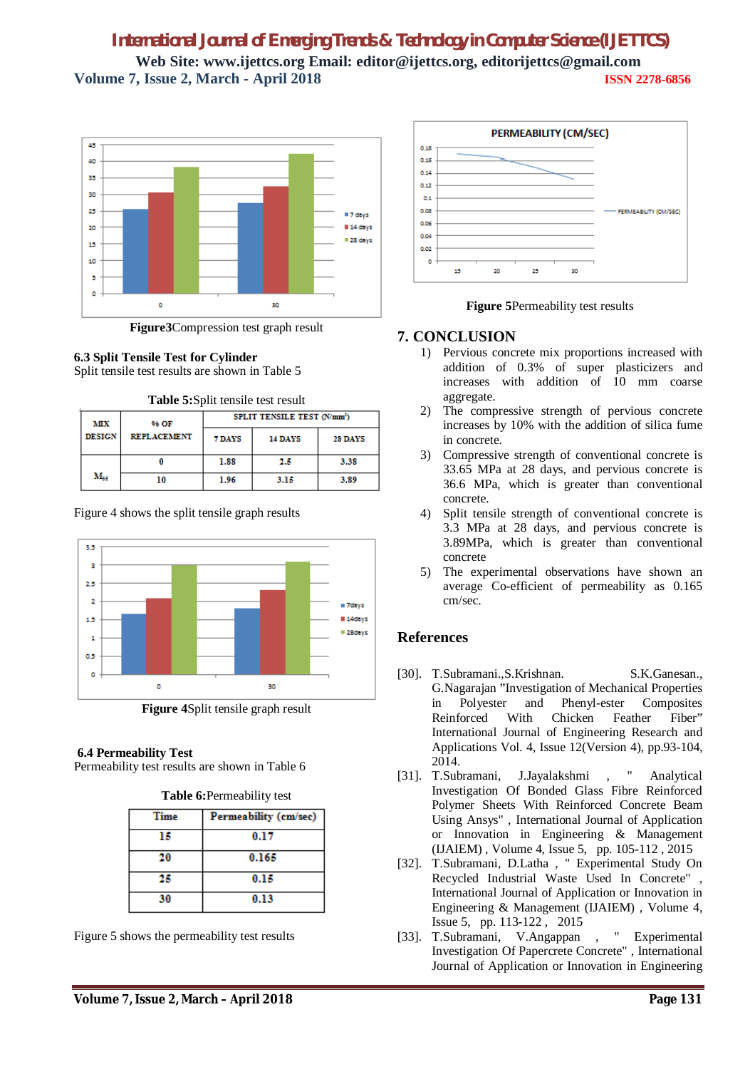

**Figure3**Compression test graph result

**6.3 Split Tensile Test for Cylinder** Split tensile test results are shown in Table 5

| мх<br>96 OF   |                    |                   | <b>SPLIT TENSILE TEST (N/mm<sup>2</sup>)</b> |      |  |
|---------------|--------------------|-------------------|----------------------------------------------|------|--|
| <b>DESIGN</b> | <b>REPLACEMENT</b> | 7 DAYS<br>14 DAYS | 28 DAYS                                      |      |  |
|               |                    | 1.88              | 2.5                                          | 3.38 |  |
| $M_{ac}$      | 10                 | 1.96              | 3.15                                         | 3.89 |  |

Figure 4 shows the split tensile graph results



**Figure 4**Split tensile graph result

### **6.4 Permeability Test**

Permeability test results are shown in Table 6

| Time | Permeability (cm/sec) |  |
|------|-----------------------|--|
| 15   | 0.17                  |  |
| 20   | 0.165                 |  |
| 25   | 0.15                  |  |
| 30   | 0.13                  |  |

**Table 6:**Permeability test

Figure 5 shows the permeability test results



**Figure 5**Permeability test results

### **7. CONCLUSION**

- 1) Pervious concrete mix proportions increased with addition of 0.3% of super plasticizers and increases with addition of 10 mm coarse aggregate.
- 2) The compressive strength of pervious concrete increases by 10% with the addition of silica fume in concrete.
- 3) Compressive strength of conventional concrete is 33.65 MPa at 28 days, and pervious concrete is 36.6 MPa, which is greater than conventional concrete.
- 4) Split tensile strength of conventional concrete is 3.3 MPa at 28 days, and pervious concrete is 3.89MPa, which is greater than conventional concrete
- 5) The experimental observations have shown an average Co-efficient of permeability as 0.165 cm/sec.

### **References**

- [30]. T.Subramani.,S.Krishnan. S.K.Ganesan., G.Nagarajan "Investigation of Mechanical Properties in Polyester and Phenyl-ester Composites<br>Reinforced With Chicken Feather Fiber" Reinforced With Chicken Feather Fiber" International Journal of Engineering Research and Applications Vol. 4, Issue 12(Version 4), pp.93-104, 2014.
- [31]. T.Subramani, J.Jayalakshmi , " Analytical Investigation Of Bonded Glass Fibre Reinforced Polymer Sheets With Reinforced Concrete Beam Using Ansys" , International Journal of Application or Innovation in Engineering & Management (IJAIEM) , Volume 4, Issue 5, pp. 105-112 , 2015
- [32]. T.Subramani, D.Latha , " Experimental Study On Recycled Industrial Waste Used In Concrete" , International Journal of Application or Innovation in Engineering & Management (IJAIEM) , Volume 4, Issue 5, pp. 113-122 , 2015
- [33]. T.Subramani, V.Angappan , " Experimental Investigation Of Papercrete Concrete" , International Journal of Application or Innovation in Engineering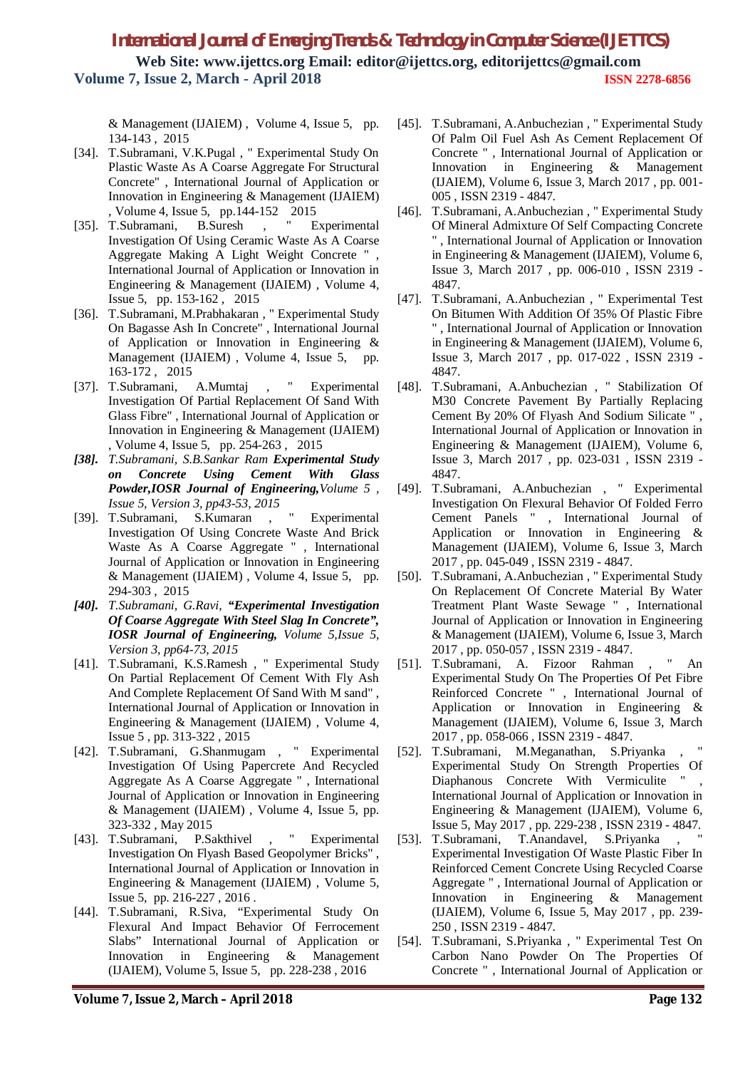& Management (IJAIEM) , Volume 4, Issue 5, pp. 134-143 , 2015

- [34]. T.Subramani, V.K.Pugal , " Experimental Study On Plastic Waste As A Coarse Aggregate For Structural Concrete" , International Journal of Application or Innovation in Engineering & Management (IJAIEM) , Volume 4, Issue 5, pp.144-152 2015
- [35]. T.Subramani, B.Suresh , " Experimental Investigation Of Using Ceramic Waste As A Coarse Aggregate Making A Light Weight Concrete " , International Journal of Application or Innovation in Engineering & Management (IJAIEM) , Volume 4, Issue 5, pp. 153-162 , 2015
- [36]. T.Subramani, M.Prabhakaran , " Experimental Study On Bagasse Ash In Concrete" , International Journal of Application or Innovation in Engineering & Management (IJAIEM) , Volume 4, Issue 5, pp. 163-172 , 2015
- [37]. T.Subramani, A.Mumtaj , " Experimental Investigation Of Partial Replacement Of Sand With Glass Fibre" , International Journal of Application or Innovation in Engineering & Management (IJAIEM) , Volume 4, Issue 5, pp. 254-263 , 2015
- *[38]. T.Subramani, S.B.Sankar Ram Experimental Study on Concrete Using Cement With Glass Powder,IOSR Journal of Engineering,Volume 5 , Issue 5, Version 3, pp43-53, 2015*
- [39]. T.Subramani, S.Kumaran , " Experimental Investigation Of Using Concrete Waste And Brick Waste As A Coarse Aggregate " , International Journal of Application or Innovation in Engineering & Management (IJAIEM) , Volume 4, Issue 5, pp. 294-303 , 2015
- *[40]. T.Subramani, G.Ravi, "Experimental Investigation Of Coarse Aggregate With Steel Slag In Concrete", IOSR Journal of Engineering, Volume 5,Issue 5, Version 3, pp64-73, 2015*
- [41]. T.Subramani, K.S.Ramesh , " Experimental Study On Partial Replacement Of Cement With Fly Ash And Complete Replacement Of Sand With M sand" , International Journal of Application or Innovation in Engineering & Management (IJAIEM) , Volume 4, Issue 5 , pp. 313-322 , 2015
- [42]. T.Subramani, G.Shanmugam , " Experimental Investigation Of Using Papercrete And Recycled Aggregate As A Coarse Aggregate " , International Journal of Application or Innovation in Engineering & Management (IJAIEM) , Volume 4, Issue 5, pp. 323-332 , May 2015
- [43]. T.Subramani, P.Sakthivel , " Experimental Investigation On Flyash Based Geopolymer Bricks" , International Journal of Application or Innovation in Engineering & Management (IJAIEM) , Volume 5, Issue 5, pp. 216-227 , 2016 .
- [44]. T.Subramani, R.Siva, "Experimental Study On Flexural And Impact Behavior Of Ferrocement Slabs" International Journal of Application or Innovation in Engineering & Management (IJAIEM), Volume 5, Issue 5, pp. 228-238 , 2016
- [45]. T.Subramani, A.Anbuchezian , " Experimental Study Of Palm Oil Fuel Ash As Cement Replacement Of Concrete " , International Journal of Application or Innovation in Engineering & Management (IJAIEM), Volume 6, Issue 3, March 2017 , pp. 001- 005 , ISSN 2319 - 4847.
- [46]. T.Subramani, A.Anbuchezian , " Experimental Study Of Mineral Admixture Of Self Compacting Concrete " , International Journal of Application or Innovation in Engineering & Management (IJAIEM), Volume 6, Issue 3, March 2017 , pp. 006-010 , ISSN 2319 - 4847.
- [47]. T.Subramani, A.Anbuchezian , " Experimental Test On Bitumen With Addition Of 35% Of Plastic Fibre " , International Journal of Application or Innovation in Engineering & Management (IJAIEM), Volume 6, Issue 3, March 2017 , pp. 017-022 , ISSN 2319 - 4847.
- [48]. T.Subramani, A.Anbuchezian , " Stabilization Of M30 Concrete Pavement By Partially Replacing Cement By 20% Of Flyash And Sodium Silicate " , International Journal of Application or Innovation in Engineering & Management (IJAIEM), Volume 6, Issue 3, March 2017 , pp. 023-031 , ISSN 2319 - 4847.
- [49]. T.Subramani, A.Anbuchezian , " Experimental Investigation On Flexural Behavior Of Folded Ferro Cement Panels " , International Journal of Application or Innovation in Engineering & Management (IJAIEM), Volume 6, Issue 3, March 2017 , pp. 045-049 , ISSN 2319 - 4847.
- [50]. T.Subramani, A.Anbuchezian , " Experimental Study On Replacement Of Concrete Material By Water Treatment Plant Waste Sewage " , International Journal of Application or Innovation in Engineering & Management (IJAIEM), Volume 6, Issue 3, March 2017 , pp. 050-057 , ISSN 2319 - 4847.
- [51]. T.Subramani, A. Fizoor Rahman , " An Experimental Study On The Properties Of Pet Fibre Reinforced Concrete " , International Journal of Application or Innovation in Engineering & Management (IJAIEM), Volume 6, Issue 3, March 2017 , pp. 058-066 , ISSN 2319 - 4847.
- [52]. T.Subramani, M.Meganathan, S.Priyanka, Experimental Study On Strength Properties Of Diaphanous Concrete With Vermiculite " International Journal of Application or Innovation in Engineering & Management (IJAIEM), Volume 6, Issue 5, May 2017 , pp. 229-238 , ISSN 2319 - 4847.
- [53]. T.Subramani, T.Anandavel, S.Priyanka , " Experimental Investigation Of Waste Plastic Fiber In Reinforced Cement Concrete Using Recycled Coarse Aggregate " , International Journal of Application or Innovation in Engineering & Management (IJAIEM), Volume 6, Issue 5, May 2017 , pp. 239- 250 , ISSN 2319 - 4847.
- [54]. T.Subramani, S.Priyanka , " Experimental Test On Carbon Nano Powder On The Properties Of Concrete " , International Journal of Application or